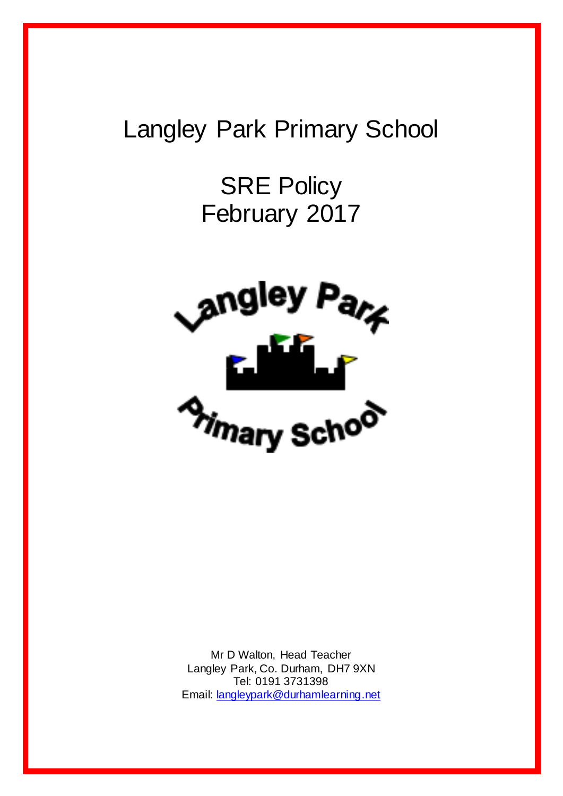# Langley Park Primary School

SRE Policy February 2017



Mr D Walton, Head Teacher Langley Park, Co. Durham, DH7 9XN Tel: 0191 3731398 Email[: langleypark@durhamlearning.net](mailto:langleypark@durhamlearning.net)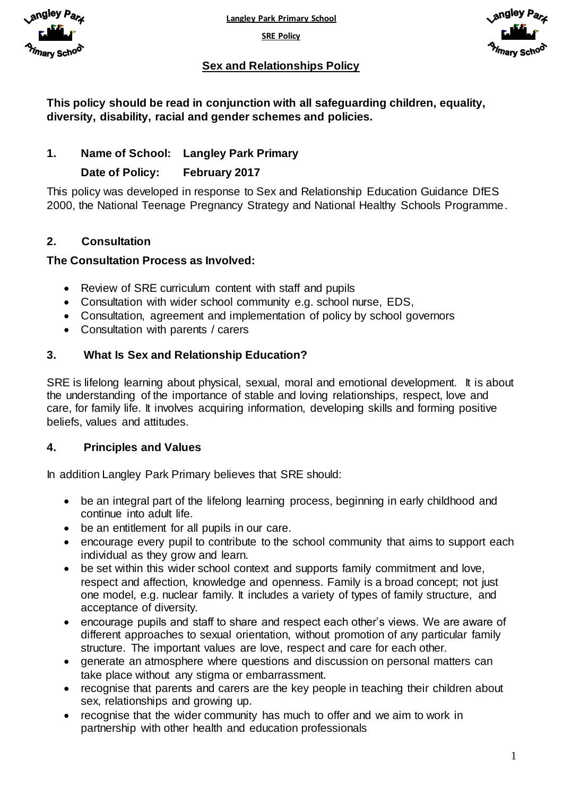



## **Sex and Relationships Policy**

**This policy should be read in conjunction with all safeguarding children, equality, diversity, disability, racial and gender schemes and policies.**

# **1. Name of School: Langley Park Primary**

### **Date of Policy: February 2017**

This policy was developed in response to Sex and Relationship Education Guidance DfES 2000, the National Teenage Pregnancy Strategy and National Healthy Schools Programme.

# **2. Consultation**

#### **The Consultation Process as Involved:**

- Review of SRE curriculum content with staff and pupils
- Consultation with wider school community e.g. school nurse, EDS,
- Consultation, agreement and implementation of policy by school governors
- Consultation with parents / carers

#### **3. What Is Sex and Relationship Education?**

SRE is lifelong learning about physical, sexual, moral and emotional development. It is about the understanding of the importance of stable and loving relationships, respect, love and care, for family life. It involves acquiring information, developing skills and forming positive beliefs, values and attitudes.

#### **4. Principles and Values**

In addition Langley Park Primary believes that SRE should:

- be an integral part of the lifelong learning process, beginning in early childhood and continue into adult life.
- be an entitlement for all pupils in our care.
- encourage every pupil to contribute to the school community that aims to support each individual as they grow and learn.
- be set within this wider school context and supports family commitment and love, respect and affection, knowledge and openness. Family is a broad concept; not just one model, e.g. nuclear family. It includes a variety of types of family structure, and acceptance of diversity.
- encourage pupils and staff to share and respect each other's views. We are aware of different approaches to sexual orientation, without promotion of any particular family structure. The important values are love, respect and care for each other.
- generate an atmosphere where questions and discussion on personal matters can take place without any stigma or embarrassment.
- recognise that parents and carers are the key people in teaching their children about sex, relationships and growing up.
- recognise that the wider community has much to offer and we aim to work in partnership with other health and education professionals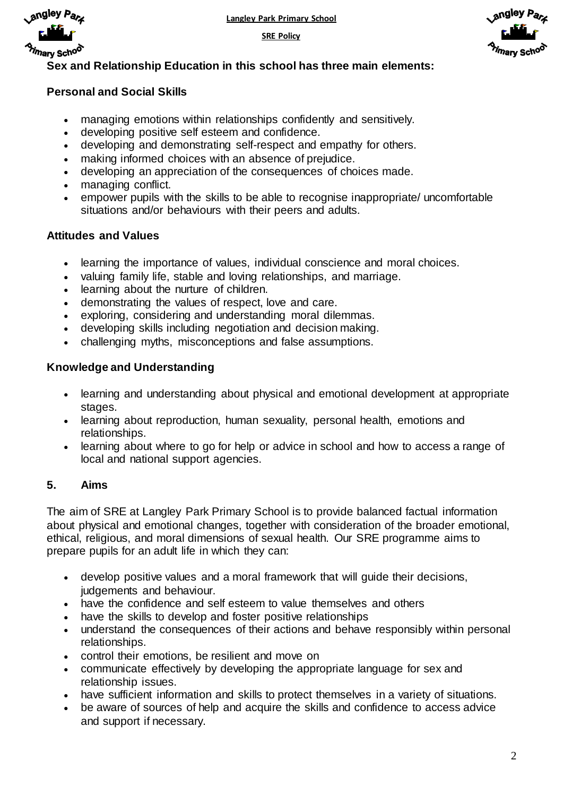



ngley P<sub>a</sub>,

# **Sex and Relationship Education in this school has three main elements:**

# **Personal and Social Skills**

- managing emotions within relationships confidently and sensitively.
- developing positive self esteem and confidence.
- developing and demonstrating self-respect and empathy for others.
- making informed choices with an absence of prejudice.
- developing an appreciation of the consequences of choices made.
- managing conflict.
- empower pupils with the skills to be able to recognise inappropriate/ uncomfortable situations and/or behaviours with their peers and adults.

## **Attitudes and Values**

- learning the importance of values, individual conscience and moral choices.
- valuing family life, stable and loving relationships, and marriage.
- learning about the nurture of children.
- demonstrating the values of respect, love and care.
- exploring, considering and understanding moral dilemmas.
- developing skills including negotiation and decision making.
- challenging myths, misconceptions and false assumptions.

## **Knowledge and Understanding**

- learning and understanding about physical and emotional development at appropriate stages.
- learning about reproduction, human sexuality, personal health, emotions and relationships.
- learning about where to go for help or advice in school and how to access a range of local and national support agencies.

# **5. Aims**

The aim of SRE at Langley Park Primary School is to provide balanced factual information about physical and emotional changes, together with consideration of the broader emotional, ethical, religious, and moral dimensions of sexual health. Our SRE programme aims to prepare pupils for an adult life in which they can:

- develop positive values and a moral framework that will guide their decisions, judgements and behaviour.
- have the confidence and self esteem to value themselves and others
- have the skills to develop and foster positive relationships
- understand the consequences of their actions and behave responsibly within personal relationships.
- control their emotions, be resilient and move on
- communicate effectively by developing the appropriate language for sex and relationship issues.
- have sufficient information and skills to protect themselves in a variety of situations.
- be aware of sources of help and acquire the skills and confidence to access advice and support if necessary.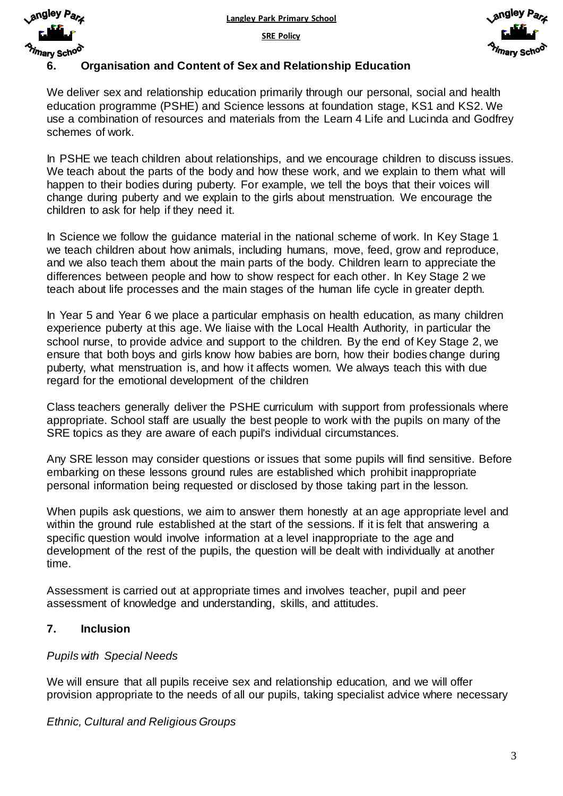



## **6. Organisation and Content of Sex and Relationship Education**

We deliver sex and relationship education primarily through our personal, social and health education programme (PSHE) and Science lessons at foundation stage, KS1 and KS2. We use a combination of resources and materials from the Learn 4 Life and Lucinda and Godfrey schemes of work.

In PSHE we teach children about relationships, and we encourage children to discuss issues. We teach about the parts of the body and how these work, and we explain to them what will happen to their bodies during puberty. For example, we tell the boys that their voices will change during puberty and we explain to the girls about menstruation. We encourage the children to ask for help if they need it.

In Science we follow the guidance material in the national scheme of work. In Key Stage 1 we teach children about how animals, including humans, move, feed, grow and reproduce, and we also teach them about the main parts of the body. Children learn to appreciate the differences between people and how to show respect for each other. In Key Stage 2 we teach about life processes and the main stages of the human life cycle in greater depth.

In Year 5 and Year 6 we place a particular emphasis on health education, as many children experience puberty at this age. We liaise with the Local Health Authority, in particular the school nurse, to provide advice and support to the children. By the end of Key Stage 2, we ensure that both boys and girls know how babies are born, how their bodies change during puberty, what menstruation is, and how it affects women. We always teach this with due regard for the emotional development of the children

Class teachers generally deliver the PSHE curriculum with support from professionals where appropriate. School staff are usually the best people to work with the pupils on many of the SRE topics as they are aware of each pupil's individual circumstances.

Any SRE lesson may consider questions or issues that some pupils will find sensitive. Before embarking on these lessons ground rules are established which prohibit inappropriate personal information being requested or disclosed by those taking part in the lesson.

When pupils ask questions, we aim to answer them honestly at an age appropriate level and within the ground rule established at the start of the sessions. If it is felt that answering a specific question would involve information at a level inappropriate to the age and development of the rest of the pupils, the question will be dealt with individually at another time.

Assessment is carried out at appropriate times and involves teacher, pupil and peer assessment of knowledge and understanding, skills, and attitudes.

#### **7. Inclusion**

#### *Pupils with Special Needs*

We will ensure that all pupils receive sex and relationship education, and we will offer provision appropriate to the needs of all our pupils, taking specialist advice where necessary

#### *Ethnic, Cultural and Religious Groups*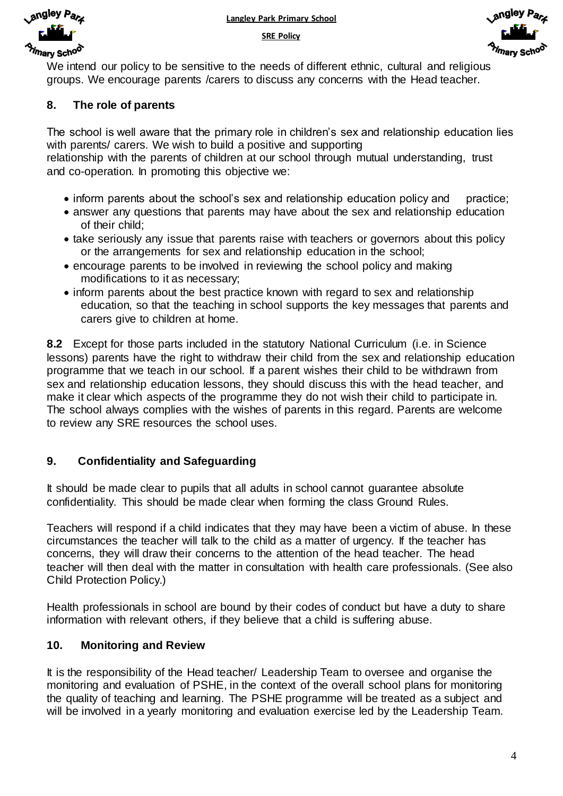





We intend our policy to be sensitive to the needs of different ethnic, cultural and religious groups. We encourage parents /carers to discuss any concerns with the Head teacher.

## **8. The role of parents**

The school is well aware that the primary role in children's sex and relationship education lies with parents/ carers. We wish to build a positive and supporting

relationship with the parents of children at our school through mutual understanding, trust and co-operation. In promoting this objective we:

- inform parents about the school's sex and relationship education policy and practice;
- answer any questions that parents may have about the sex and relationship education of their child;
- take seriously any issue that parents raise with teachers or governors about this policy or the arrangements for sex and relationship education in the school;
- encourage parents to be involved in reviewing the school policy and making modifications to it as necessary;
- inform parents about the best practice known with regard to sex and relationship education, so that the teaching in school supports the key messages that parents and carers give to children at home.

**8.2** Except for those parts included in the statutory National Curriculum (i.e. in Science lessons) parents have the right to withdraw their child from the sex and relationship education programme that we teach in our school. If a parent wishes their child to be withdrawn from sex and relationship education lessons, they should discuss this with the head teacher, and make it clear which aspects of the programme they do not wish their child to participate in. The school always complies with the wishes of parents in this regard. Parents are welcome to review any SRE resources the school uses.

# **9. Confidentiality and Safeguarding**

It should be made clear to pupils that all adults in school cannot guarantee absolute confidentiality. This should be made clear when forming the class Ground Rules.

Teachers will respond if a child indicates that they may have been a victim of abuse. In these circumstances the teacher will talk to the child as a matter of urgency. If the teacher has concerns, they will draw their concerns to the attention of the head teacher. The head teacher will then deal with the matter in consultation with health care professionals. (See also Child Protection Policy.)

Health professionals in school are bound by their codes of conduct but have a duty to share information with relevant others, if they believe that a child is suffering abuse.

# **10. Monitoring and Review**

It is the responsibility of the Head teacher/ Leadership Team to oversee and organise the monitoring and evaluation of PSHE, in the context of the overall school plans for monitoring the quality of teaching and learning. The PSHE programme will be treated as a subject and will be involved in a yearly monitoring and evaluation exercise led by the Leadership Team.